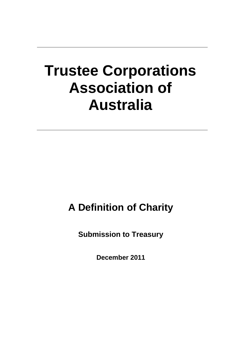# **Trustee Corporations Association of Australia**

# **A Definition of Charity**

**Submission to Treasury**

**December 2011**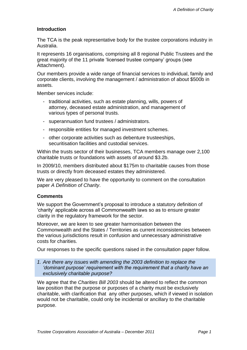### **Introduction**

The TCA is the peak representative body for the trustee corporations industry in Australia.

It represents 16 organisations, comprising all 8 regional Public Trustees and the great majority of the 11 private 'licensed trustee company' groups (see Attachment).

Our members provide a wide range of financial services to individual, family and corporate clients, involving the management / administration of about \$500b in assets.

Member services include:

- traditional activities, such as estate planning, wills, powers of attorney, deceased estate administration, and management of various types of personal trusts.
- superannuation fund trustees / administrators.
- responsible entities for managed investment schemes.
- other corporate activities such as debenture trusteeships, securitisation facilities and custodial services.

Within the trusts sector of their businesses, TCA members manage over 2,100 charitable trusts or foundations with assets of around \$3.2b.

In 2009/10, members distributed about \$175m to charitable causes from those trusts or directly from deceased estates they administered.

We are very pleased to have the opportunity to comment on the consultation paper *A Definition of Charity*.

#### **Comments**

We support the Government's proposal to introduce a statutory definition of 'charity' applicable across all Commonwealth laws so as to ensure greater clarity in the regulatory framework for the sector.

Moreover, we are keen to see greater harmonisation between the Commonwealth and the States / Territories as current inconsistencies between the various jurisdictions result in confusion and unnecessary administrative costs for charities.

Our responses to the specific questions raised in the consultation paper follow.

*1. Are there any issues with amending the 2003 definition to replace the 'dominant purpose' requirement with the requirement that a charity have an exclusively charitable purpose?* 

We agree that the *Charities Bill 2003* should be altered to reflect the common law position that the purpose or purposes of a charity must be exclusively charitable, with clarification that any other purposes, which if viewed in isolation would not be charitable, could only be incidental or ancillary to the charitable purpose.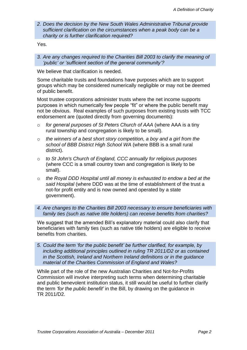*2. Does the decision by the New South Wales Administrative Tribunal provide sufficient clarification on the circumstances when a peak body can be a charity or is further clarification required?* 

Yes.

*3. Are any changes required to the Charities Bill 2003 to clarify the meaning of 'public' or 'sufficient section of the general community'?* 

We believe that clarification is needed.

Some charitable trusts and foundations have purposes which are to support groups which may be considered numerically negligible or may not be deemed of public benefit.

Most trustee corporations administer trusts where the net income supports purposes in which numerically few people "fit" or where the public benefit may not be obvious. Real examples of such purposes from existing trusts with TCC endorsement are (quoted directly from governing documents):

- o *for general purposes of St Peters Church of AAA* (where AAA is a tiny rural township and congregation is likely to be small).
- o *the winners of a best short story competition, a boy and a girl from the school of BBB District High School WA* (where BBB is a small rural district).
- o *to St John's Church of England, CCC annually for religious purposes*  (where CCC is a small country town and congregation is likely to be small).
- o *the Royal DDD Hospital until all money is exhausted to endow a bed at the said Hospital* (where DDD was at the time of establishment of the trust a not-for profit entity and is now owned and operated by a state government).

*4. Are changes to the Charities Bill 2003 necessary to ensure beneficiaries with family ties (such as native title holders) can receive benefits from charities?* 

We suggest that the amended Bill's explanatory material could also clarify that beneficiaries with family ties (such as native title holders) are eligible to receive benefits from charities.

*5. Could the term 'for the public benefit' be further clarified, for example, by including additional principles outlined in ruling TR 2011/D2 or as contained in the Scottish, Ireland and Northern Ireland definitions or in the guidance material of the Charities Commission of England and Wales?* 

While part of the role of the new Australian Charities and Not-for-Profits Commission will involve interpreting such terms when determining charitable and public benevolent institution status, it still would be useful to further clarify the term *'for the public benefit'* in the Bill, by drawing on the guidance in TR 2011/D2.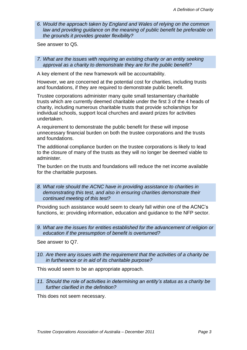*6. Would the approach taken by England and Wales of relying on the common law and providing guidance on the meaning of public benefit be preferable on the grounds it provides greater flexibility?* 

See answer to Q5.

*7. What are the issues with requiring an existing charity or an entity seeking approval as a charity to demonstrate they are for the public benefit?* 

A key element of the new framework will be accountability.

However, we are concerned at the potential cost for charities, including trusts and foundations, if they are required to demonstrate public benefit.

Trustee corporations administer many quite small testamentary charitable trusts which are currently deemed charitable under the first 3 of the 4 heads of charity, including numerous charitable trusts that provide scholarships for individual schools, support local churches and award prizes for activities undertaken.

A requirement to demonstrate the public benefit for these will impose unnecessary financial burden on both the trustee corporations and the trusts and foundations.

The additional compliance burden on the trustee corporations is likely to lead to the closure of many of the trusts as they will no longer be deemed viable to administer.

The burden on the trusts and foundations will reduce the net income available for the charitable purposes.

*8. What role should the ACNC have in providing assistance to charities in demonstrating this test, and also in ensuring charities demonstrate their continued meeting of this test?* 

Providing such assistance would seem to clearly fall within one of the ACNC's functions, ie: providing information, education and guidance to the NFP sector.

*9. What are the issues for entities established for the advancement of religion or education if the presumption of benefit is overturned?* 

See answer to Q7.

*10. Are there any issues with the requirement that the activities of a charity be in furtherance or in aid of its charitable purpose?* 

This would seem to be an appropriate approach.

*11. Should the role of activities in determining an entity's status as a charity be further clarified in the definition?* 

This does not seem necessary.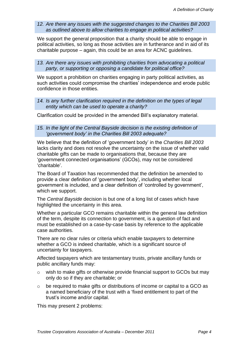*12. Are there any issues with the suggested changes to the Charities Bill 2003 as outlined above to allow charities to engage in political activities?* 

We support the general proposition that a charity should be able to engage in political activities, so long as those activities are in furtherance and in aid of its charitable purpose – again, this could be an area for ACNC guidelines.

13. Are there any issues with prohibiting charities from advocating a political *party, or supporting or opposing a candidate for political office?* 

We support a prohibition on charities engaging in party political activities, as such activities could compromise the charities' independence and erode public confidence in those entities.

14. Is any further clarification required in the definition on the types of legal *entity which can be used to operate a charity?* 

Clarification could be provided in the amended Bill's explanatory material.

*15. In the light of the Central Bayside decision is the existing definition of 'government body' in the Charities Bill 2003 adequate?* 

We believe that the definition of 'government body' in the *Charities Bill 2003* lacks clarity and does not resolve the uncertainty on the issue of whether valid charitable gifts can be made to organisations that, because they are 'government connected organisations' (GCOs), may not be considered 'charitable'.

The Board of Taxation has recommended that the definition be amended to provide a clear definition of 'government body', including whether local government is included, and a clear definition of 'controlled by government', which we support.

The *Central Bayside* decision is but one of a long list of cases which have highlighted the uncertainty in this area.

Whether a particular GCO remains charitable within the general law definition of the term, despite its connection to government, is a question of fact and must be established on a case-by-case basis by reference to the applicable case authorities.

There are no clear rules or criteria which enable taxpayers to determine whether a GCO is indeed charitable, which is a significant source of uncertainty for taxpayers.

Affected taxpayers which are testamentary trusts, private ancillary funds or public ancillary funds may:

- o wish to make gifts or otherwise provide financial support to GCOs but may only do so if they are charitable; or
- o be required to make gifts or distributions of income or capital to a GCO as a named beneficiary of the trust with a 'fixed entitlement to part of the trust's income and/or capital.

This may present 2 problems: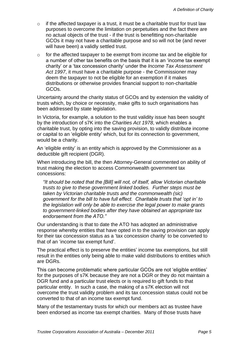- $\circ$  if the affected taxpayer is a trust, it must be a charitable trust for trust law purposes to overcome the limitation on perpetuities and the fact there are no actual objects of the trust - if the trust is benefitting non-charitable GCOs it may not have a charitable purpose and so will not be (and never will have been) a validly settled trust.
- $\circ$  for the affected taxpayer to be exempt from income tax and be eligible for a number of other tax benefits on the basis that it is an 'income tax exempt charity' or a 'tax concession charity' under the *Income Tax Assessment Act 1997*, it must have a charitable purpose - the Commissioner may deem the taxpayer to not be eligible for an exemption if it makes distributions or otherwise provides financial support to non-charitable GCOs.

Uncertainty around the charity status of GCOs and by extension the validity of trusts which, by choice or necessity, make gifts to such organisations has been addressed by state legislation.

In Victoria, for example, a solution to the trust validity issue has been sought by the introduction of s7K into the *Charities Act 1978*, which enables a charitable trust, by opting into the saving provision, to validly distribute income or capital to an 'eligible entity' which, but for its connection to government, would be a charity.

An 'eligible entity' is an entity which is approved by the Commissioner as a deductible gift recipient (DGR).

When introducing the bill, the then Attorney-General commented on ability of trust making the election to access Commonwealth government tax concessions:

*"It should be noted that the [Bill] will not, of itself, allow Victorian charitable trusts to give to these government linked bodies. Further steps must be taken by Victorian charitable trusts and the commonwealth (sic) government for the bill to have full effect. Charitable trusts that 'opt in' to the legislation will only be able to exercise the legal power to make grants to government-linked bodies after they have obtained an appropriate tax endorsement from the ATO."*

Our understanding is that to date the ATO has adopted an administrative response whereby entities that have opted in to the saving provision can apply for their tax concession status as a 'tax concession charity' to be converted to that of an 'income tax exempt fund'.

The practical effect is to preserve the entities' income tax exemptions, but still result in the entities only being able to make valid distributions to entities which are DGRs.

This can become problematic where particular GCOs are not 'eligible entities' for the purposes of s7K because they are not a DGR or they do not maintain a DGR fund and a particular trust elects or is required to gift funds to that particular entity. In such a case, the making of a s7K election will not overcome the trust validity problem and its tax concession status could not be converted to that of an income tax exempt fund.

Many of the testamentary trusts for which our members act as trustee have been endorsed as income tax exempt charities. Many of those trusts have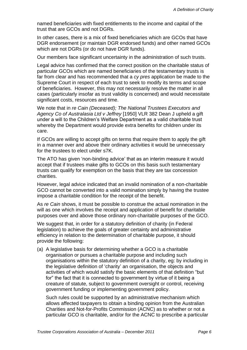named beneficiaries with fixed entitlements to the income and capital of the trust that are GCOs and not DGRs.

In other cases, there is a mix of fixed beneficiaries which are GCOs that have DGR endorsement (or maintain DGR endorsed funds) and other named GCOs which are not DGRs (or do not have DGR funds).

Our members face significant uncertainty in the administration of such trusts.

Legal advice has confirmed that the correct position on the charitable status of particular GCOs which are named beneficiaries of the testamentary trusts is far from clear and has recommended that a *cy pres* application be made to the Supreme Court in respect of each trust to seek to modify its terms and scope of beneficiaries. However, this may not necessarily resolve the matter in all cases (particularly insofar as trust validity is concerned) and would necessitate significant costs, resources and time.

We note that in *re Cain (Deceased); The National Trustees Executors and Agency Co of Australasia Ltd v Jeffrey* [1950] VLR 382 Dean J upheld a gift under a will to the Children's Welfare Department as a valid charitable trust whereby the Department would provide extra benefits for children under its care.

If GCOs are willing to accept gifts on terms that require them to apply the gift in a manner over and above their ordinary activities it would be unnecessary for the trustees to elect under s7K.

The ATO has given 'non-binding advice' that as an interim measure it would accept that if trustees make gifts to GCOs on this basis such testamentary trusts can qualify for exemption on the basis that they are tax concession charities.

However, legal advice indicated that an invalid nomination of a non-charitable GCO cannot be converted into a valid nomination simply by having the trustee impose a charitable condition for the receipt of the benefit.

As *re Cain* shows, it must be possible to construe the actual nomination in the will as one which involves the receipt and application of benefit for charitable purposes over and above those ordinary non-charitable purposes of the GCO.

We suggest that, in order for a statutory definition of charity (in Federal legislation) to achieve the goals of greater certainty and administrative efficiency in relation to the determination of charitable purpose, it should provide the following:

(a) A legislative basis for determining whether a GCO is a charitable organisation or pursues a charitable purpose and including such organisations within the statutory definition of a charity, eg: by including in the legislative definition of 'charity' an organisation, the objects and activities of which would satisfy the basic elements of that definition "but for" the fact that it is connected to government by virtue of it being a creature of statute, subject to government oversight or control, receiving government funding or implementing government policy.

Such rules could be supported by an administrative mechanism which allows affected taxpayers to obtain a binding opinion from the Australian Charities and Not-for-Profits Commission (ACNC) as to whether or not a particular GCO is charitable, and/or for the ACNC to prescribe a particular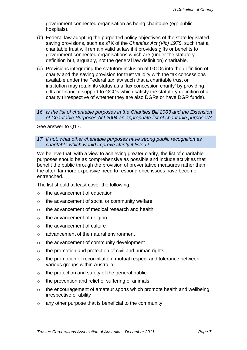government connected organisation as being charitable (eg: public hospitals).

- (b) Federal law adopting the purported policy objectives of the state legislated saving provisions, such as s7K of the *Charities Act (Vic) 1978*, such that a charitable trust will remain valid at law if it provides gifts or benefits to government connected organisations which are (under the statutory definition but, arguably, not the general law definition) charitable.
- (c) Provisions integrating the statutory inclusion of GCOs into the definition of charity and the saving provision for trust validity with the tax concessions available under the Federal tax law such that a charitable trust or institution may retain its status as a 'tax concession charity' by providing gifts or financial support to GCOs which satisfy the statutory definition of a charity (irrespective of whether they are also DGRs or have DGR funds).

*16. Is the list of charitable purposes in the Charities Bill 2003 and the Extension of Charitable Purposes Act 2004 an appropriate list of charitable purposes?* 

See answer to Q17.

*17. If not, what other charitable purposes have strong public recognition as charitable which would improve clarity if listed?* 

We believe that, with a view to achieving greater clarity, the list of charitable purposes should be as comprehensive as possible and include activities that benefit the public through the provision of preventative measures rather than the often far more expensive need to respond once issues have become entrenched.

The list should at least cover the following:

- o the advancement of education
- o the advancement of social or community welfare
- o the advancement of medical research and health
- o the advancement of religion
- o the advancement of culture
- o advancement of the natural environment
- o the advancement of community development
- $\circ$  the promotion and protection of civil and human rights
- o the promotion of reconciliation, mutual respect and tolerance between various groups within Australia
- o the protection and safety of the general public
- o the prevention and relief of suffering of animals
- o the encouragement of amateur sports which promote health and wellbeing irrespective of ability
- o any other purpose that is beneficial to the community.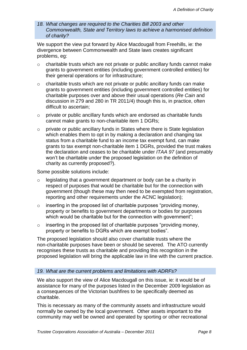*18. What changes are required to the Charities Bill 2003 and other Commonwealth, State and Territory laws to achieve a harmonised definition of charity?* 

We support the view put forward by Alice Macdougall from Freehills, ie: the divergence between Commonwealth and State laws creates significant problems, eg:

- o charitable trusts which are not private or public ancillary funds cannot make grants to government entities (including government controlled entities) for their general operations or for infrastructure;
- o charitable trusts which are not private or public ancillary funds can make grants to government entities (including government controlled entities) for charitable purposes over and above their usual operations (*Re Cain* and discussion in 279 and 280 in TR 2011/4) though this is, in practice, often difficult to ascertain;
- $\circ$  private or public ancillary funds which are endorsed as charitable funds cannot make grants to non-charitable item 1 DGRs;
- $\circ$  private or public ancillary funds in States where there is State legislation which enables them to opt in by making a declaration and changing tax status from a charitable fund to an income tax exempt fund, can make grants to tax exempt non-charitable item 1 DGRs, provided the trust makes the declaration and ceases to be charitable under *ITAA 97* (and presumably won't be charitable under the proposed legislation on the definition of charity as currently proposed?).

Some possible solutions include:

- o legislating that a government department or body can be a charity in respect of purposes that would be charitable but for the connection with government (though these may then need to be exempted from registration, reporting and other requirements under the ACNC legislation);
- o inserting in the proposed list of charitable purposes "providing money, property or benefits to government departments or bodies for purposes which would be charitable but for the connection with government";
- o inserting in the proposed list of charitable purposes "providing money, property or benefits to DGRs which are exempt bodies".

The proposed legislation should also cover charitable trusts where the non-charitable purposes have been or should be severed. The ATO currently recognises these trusts as charitable and providing this recognition in the proposed legislation will bring the applicable law in line with the current practice.

#### *19. What are the current problems and limitations with ADRFs?*

We also support the view of Alice Macdougall on this issue, ie: it would be of assistance for many of the purposes listed in the December 2009 legislation as a consequences of the Victorian bushfires to be specifically deemed as charitable.

This is necessary as many of the community assets and infrastructure would normally be owned by the local government. Other assets important to the community may well be owned and operated by sporting or other recreational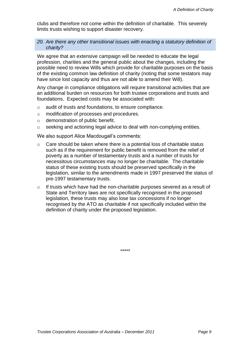clubs and therefore not come within the definition of charitable. This severely limits trusts wishing to support disaster recovery.

#### *20. Are there any other transitional issues with enacting a statutory definition of charity?*

We agree that an extensive campaign will be needed to educate the legal profession, charities and the general public about the changes, including the possible need to review Wills which provide for charitable purposes on the basis of the existing common law definition of charity (noting that some testators may have since lost capacity and thus are not able to amend their Will).

Any change in compliance obligations will require transitional activities that are an additional burden on resources for both trustee corporations and trusts and foundations. Expected costs may be associated with:

- o audit of trusts and foundations, to ensure compliance.
- o modification of processes and procedures.
- o demonstration of public benefit.
- o seeking and actioning legal advice to deal with non-complying entities.

We also support Alice Macdougall's comments:

- o Care should be taken where there is a potential loss of charitable status such as if the requirement for public benefit is removed from the relief of poverty as a number of testamentary trusts and a number of trusts for necessitous circumstances may no longer be charitable. The charitable status of these existing trusts should be preserved specifically in the legislation, similar to the amendments made in 1997 preserved the status of pre-1997 testamentary trusts.
- o If trusts which have had the non-charitable purposes severed as a result of State and Territory laws are not specifically recognised in the proposed legislation, these trusts may also lose tax concessions if no longer recognised by the ATO as charitable if not specifically included within the definition of charity under the proposed legislation.

\*\*\*\*\*